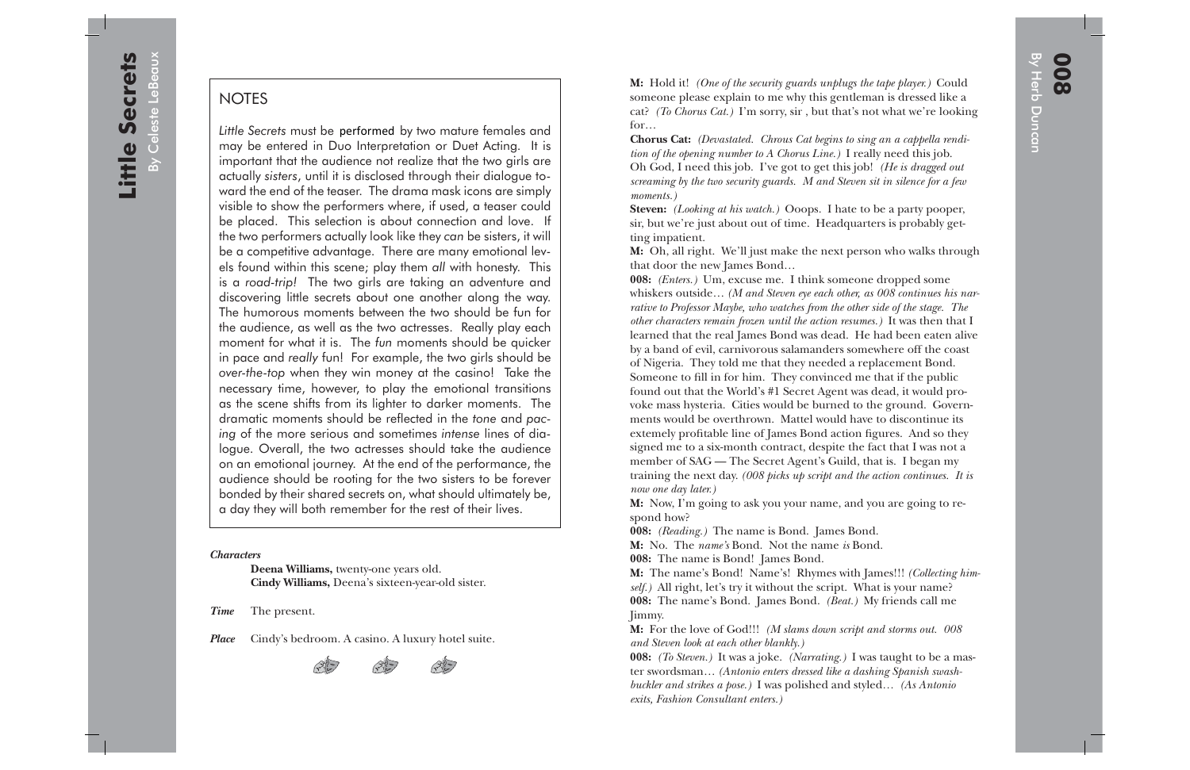NOTES<br>
Little Secrets must be performed by two mature females and<br>  $\overline{0}$ <br>
Little Secrets must be performed by two mature females and<br>
may be entered in Duo Interpretation or Duet Acting. It is<br>
important that the audien ward the end of the teaser. The drama mask icons are simply visible to show the performers where, if used, a teaser could be placed. This selection is about connection and love. If the two performers actually look like they *can* be sisters, it will be a competitive advantage. There are many emotional levels found within this scene; play them *all* with honesty. This is a *road-trip!* The two girls are taking an adventure and discovering little secrets about one another along the way. The humorous moments between the two should be fun for the audience, as well as the two actresses. Really play each moment for what it is. The *fun* moments should be quicker in pace and *really* fun! For example, the two girls should be *over-the-top* when they win money at the casino! Take the necessary time, however, to play the emotional transitions as the scene shifts from its lighter to darker moments. The dramatic moments should be reflected in the *tone* and *pacing* of the more serious and sometimes *intense* lines of dialogue. Overall, the two actresses should take the audience on an emotional journey. At the end of the performance, the audience should be rooting for the two sisters to be forever bonded by their shared secrets on, what should ultimately be, a day they will both remember for the rest of their lives. Little Secrets must be performed by two mature females and

## *Characters*

 **Deena Williams,** twenty-one years old.  **Cindy Williams,** Deena's sixteen-year-old sister.

*Time* The present.

Place Cindy's bedroom. A casino. A luxury hotel suite.